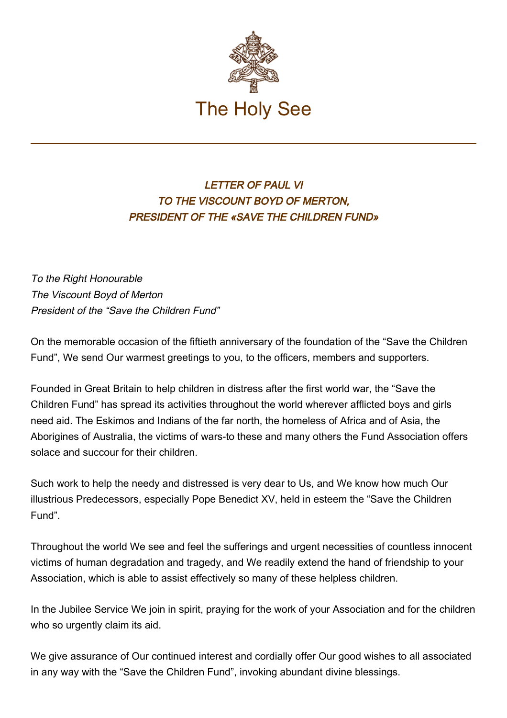

## LETTER OF PAUL VI TO THE VISCOUNT BOYD OF MERTON, PRESIDENT OF THE «SAVE THE CHILDREN FUND»

To the Right Honourable The Viscount Boyd of Merton President of the "Save the Children Fund"

On the memorable occasion of the fiftieth anniversary of the foundation of the "Save the Children Fund", We send Our warmest greetings to you, to the officers, members and supporters.

Founded in Great Britain to help children in distress after the first world war, the "Save the Children Fund" has spread its activities throughout the world wherever afflicted boys and girls need aid. The Eskimos and Indians of the far north, the homeless of Africa and of Asia, the Aborigines of Australia, the victims of wars-to these and many others the Fund Association offers solace and succour for their children.

Such work to help the needy and distressed is very dear to Us, and We know how much Our illustrious Predecessors, especially Pope Benedict XV, held in esteem the "Save the Children Fund".

Throughout the world We see and feel the sufferings and urgent necessities of countless innocent victims of human degradation and tragedy, and We readily extend the hand of friendship to your Association, which is able to assist effectively so many of these helpless children.

In the Jubilee Service We join in spirit, praying for the work of your Association and for the children who so urgently claim its aid.

We give assurance of Our continued interest and cordially offer Our good wishes to all associated in any way with the "Save the Children Fund", invoking abundant divine blessings.